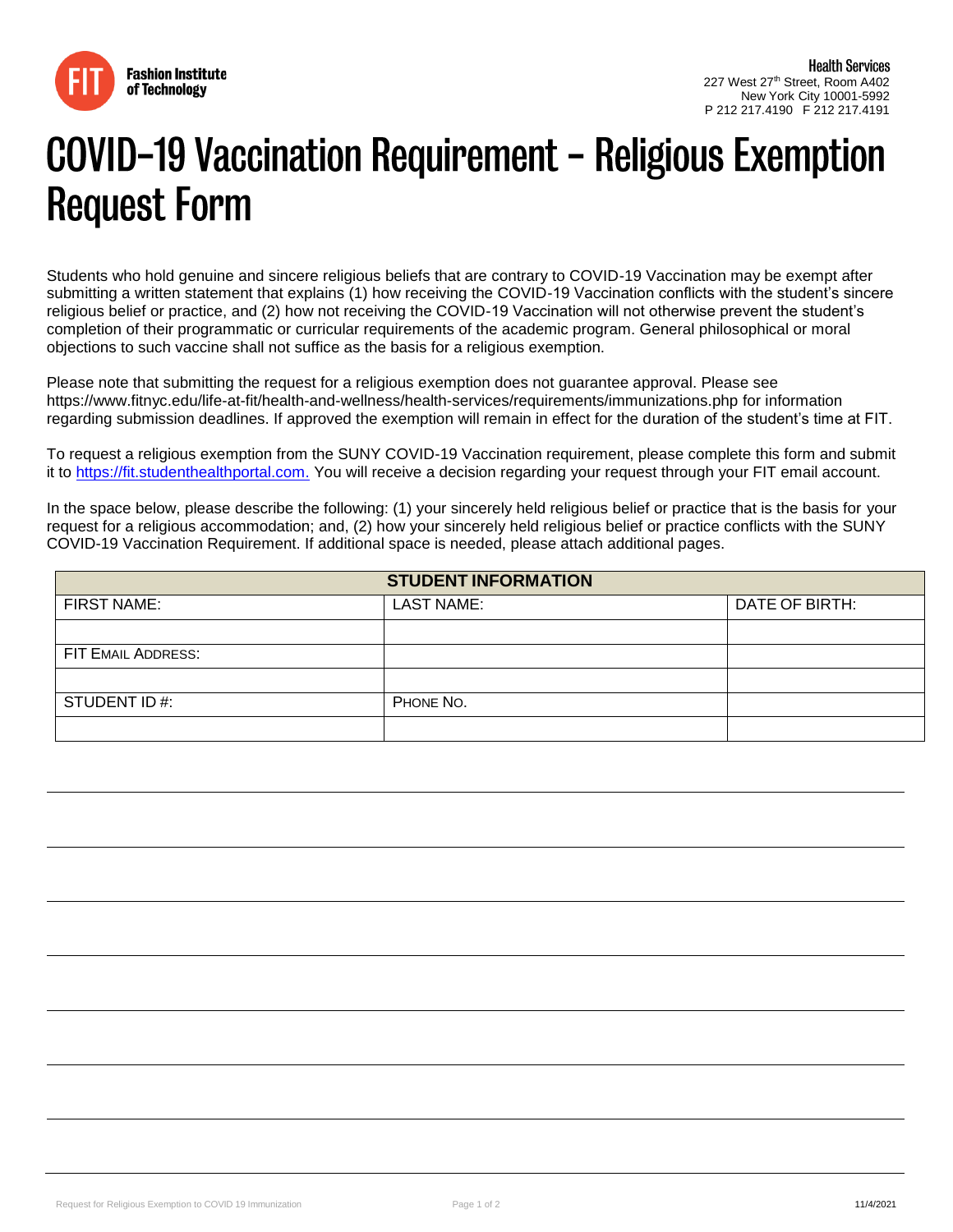

## COVID-19 Vaccination Requirement - Religious Exemption **Request Form**

Students who hold genuine and sincere religious beliefs that are contrary to COVID-19 Vaccination may be exempt after submitting a written statement that explains (1) how receiving the COVID-19 Vaccination conflicts with the student's sincere religious belief or practice, and (2) how not receiving the COVID-19 Vaccination will not otherwise prevent the student's completion of their programmatic or curricular requirements of the academic program. General philosophical or moral objections to such vaccine shall not suffice as the basis for a religious exemption.

Please note that submitting the request for a religious exemption does not guarantee approval. Please see https://www.fitnyc.edu/life-at-fit/health-and-wellness/health-services/requirements/immunizations.php for information regarding submission deadlines. If approved the exemption will remain in effect for the duration of the student's time at FIT.

To request a religious exemption from the SUNY COVID-19 Vaccination requirement, please complete this form and submit it to [https://fit.studenthealthportal.com.](https://fit.studenthealthportal.com./) You will receive a decision regarding your request through your FIT email account.

In the space below, please describe the following: (1) your sincerely held religious belief or practice that is the basis for your request for a religious accommodation; and, (2) how your sincerely held religious belief or practice conflicts with the SUNY COVID-19 Vaccination Requirement. If additional space is needed, please attach additional pages.

| <b>STUDENT INFORMATION</b> |                   |                |
|----------------------------|-------------------|----------------|
| <b>FIRST NAME:</b>         | <b>LAST NAME:</b> | DATE OF BIRTH: |
|                            |                   |                |
| FIT EMAIL ADDRESS:         |                   |                |
|                            |                   |                |
| STUDENT ID#:               | PHONE NO.         |                |
|                            |                   |                |